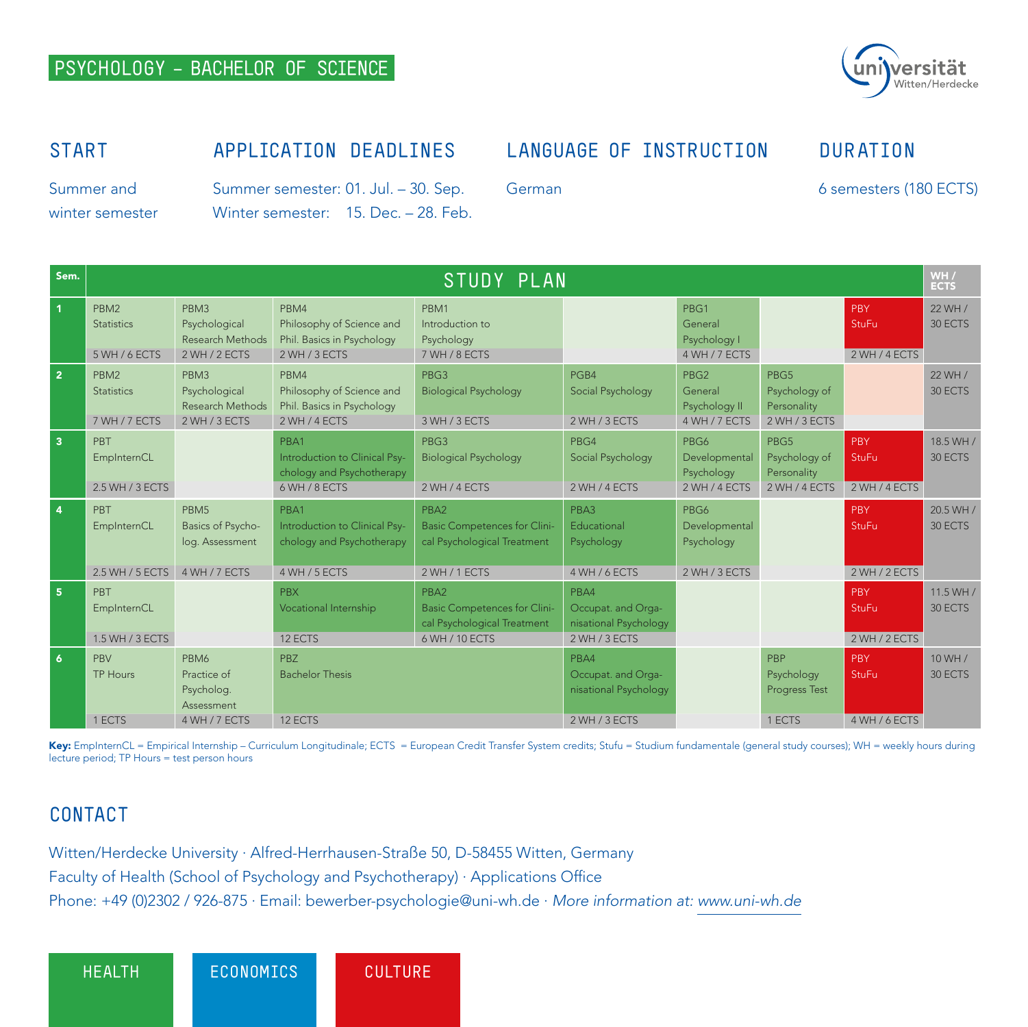## **PSYCHOLOGY – BACHELOR OF SCIENCE**



#### **START**

# **APPLICATION DEADLINES**

## **LANGUAGE OF INSTRUCTION**

Summer and winter semester

German

6 semesters (180 ECTS)

**DURATION**

Summer semester: 01. Jul. – 30. Sep. Winter semester: 15. Dec. - 28. Feb.

| Sem.                    | STUDY PLAN                                             |                                                                           |                                                                                     |                                                                                              |                                                                      |                                                               |                                                       |                                      | WH /<br><b>ECTS</b>  |
|-------------------------|--------------------------------------------------------|---------------------------------------------------------------------------|-------------------------------------------------------------------------------------|----------------------------------------------------------------------------------------------|----------------------------------------------------------------------|---------------------------------------------------------------|-------------------------------------------------------|--------------------------------------|----------------------|
| $\mathbf{1}$            | PBM <sub>2</sub><br><b>Statistics</b><br>5 WH / 6 ECTS | PBM3<br>Psychological<br>Research Methods<br>2 WH / 2 ECTS                | PBM4<br>Philosophy of Science and<br>Phil. Basics in Psychology<br>2 WH / 3 ECTS    | PBM1<br>Introduction to<br>Psychology<br>7 WH / 8 ECTS                                       |                                                                      | PBG1<br>General<br>Psychology I<br>4 WH / 7 ECTS              |                                                       | PBY<br><b>StuFu</b><br>2 WH / 4 ECTS | 22 WH /<br>30 ECTS   |
| $\overline{2}$          | PBM <sub>2</sub><br><b>Statistics</b><br>7 WH / 7 ECTS | PBM3<br>Psychological<br>Research Methods<br>2 WH / 3 ECTS                | PBM4<br>Philosophy of Science and<br>Phil. Basics in Psychology<br>2 WH / 4 ECTS    | PBG3<br><b>Biological Psychology</b><br>3 WH / 3 ECTS                                        | PGB4<br>Social Psychology<br>2 WH / 3 ECTS                           | PBG <sub>2</sub><br>General<br>Psychology II<br>4 WH / 7 ECTS | PBG5<br>Psychology of<br>Personality<br>2 WH / 3 ECTS |                                      | 22 WH /<br>30 ECTS   |
| $\overline{\mathbf{3}}$ | PBT<br>EmpInternCL<br>2.5 WH / 3 ECTS                  |                                                                           | PBA1<br>Introduction to Clinical Psy-<br>chology and Psychotherapy<br>6 WH / 8 ECTS | PBG3<br><b>Biological Psychology</b><br>2 WH / 4 ECTS                                        | PBG4<br>Social Psychology<br>2 WH / 4 ECTS                           | PBG6<br>Developmental<br>Psychology<br>2 WH / 4 ECTS          | PBG5<br>Psychology of<br>Personality<br>2 WH / 4 ECTS | PBY<br><b>StuFu</b><br>2 WH / 4 ECTS | 18.5 WH /<br>30 ECTS |
| 4                       | PBT<br>EmpInternCL<br>2.5 WH / 5 ECTS                  | PBM <sub>5</sub><br>Basics of Psycho-<br>log. Assessment<br>4 WH / 7 ECTS | PBA1<br>Introduction to Clinical Psy-<br>chology and Psychotherapy<br>4 WH / 5 ECTS | PBA2<br><b>Basic Competences for Clini-</b><br>cal Psychological Treatment<br>2 WH / 1 ECTS  | PBA3<br>Educational<br>Psychology<br>4 WH / 6 ECTS                   | PBG6<br>Developmental<br>Psychology<br>2 WH / 3 ECTS          |                                                       | PBY<br><b>StuFu</b><br>2 WH / 2 ECTS | 20.5 WH /<br>30 ECTS |
| 5 <sup>1</sup>          | PBT<br>EmpInternCL<br>1.5 WH / 3 ECTS                  |                                                                           | <b>PBX</b><br>Vocational Internship<br>12 ECTS                                      | PBA2<br><b>Basic Competences for Clini-</b><br>cal Psychological Treatment<br>6 WH / 10 ECTS | PBA4<br>Occupat. and Orga-<br>nisational Psychology<br>2 WH / 3 ECTS |                                                               |                                                       | PBY<br><b>StuFu</b><br>2 WH / 2 ECTS | 11.5 WH /<br>30 ECTS |
| 6                       | PBV<br><b>TP Hours</b><br>1 ECTS                       | PBM6<br>Practice of<br>Psycholog.<br>Assessment<br>4 WH / 7 ECTS          | PB <sub>7</sub><br><b>Bachelor Thesis</b><br>12 ECTS                                |                                                                                              | PBA4<br>Occupat. and Orga-<br>nisational Psychology<br>2 WH / 3 ECTS |                                                               | PBP<br>Psychology<br>Progress Test<br>1 ECTS          | PBY<br><b>StuFu</b><br>4 WH / 6 ECTS | 10 WH /<br>30 ECTS   |

Key: EmpInternCL = Empirical Internship – Curriculum Longitudinale; ECTS = European Credit Transfer System credits; Stufu = Studium fundamentale (general study courses); WH = weekly hours during lecture period; TP Hours = test person hours

# **CONTACT**

Witten/Herdecke University ∙ Alfred-Herrhausen-Straße 50, D-58455 Witten, Germany Faculty of Health (School of Psychology and Psychotherapy) ∙ Applications Office Phone: +49 (0)2302 / 926-875 ∙ Email: bewerber-psychologie@uni-wh.de ∙ *More information at: www.uni-wh.de*